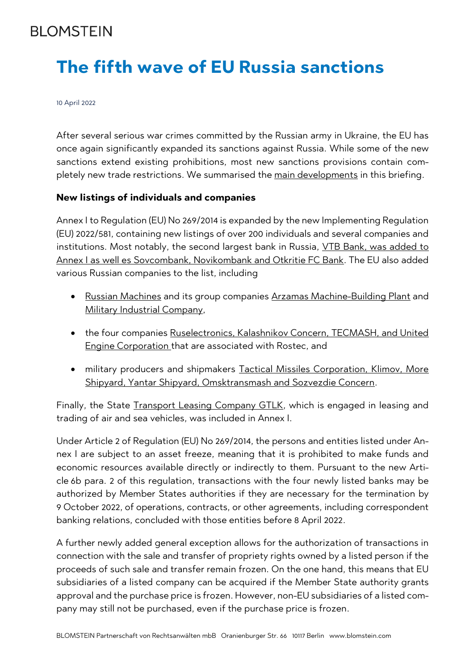## **BI OMSTEIN**

# **The fifth wave of EU Russia sanctions**

10 April 2022

After several serious war crimes committed by the Russian army in Ukraine, the EU has once again significantly expanded its sanctions against Russia. While some of the new sanctions extend existing prohibitions, most new sanctions provisions contain completely new trade restrictions. We summarised the main developments in this briefing.

#### **New listings of individuals and companies**

Annex I to Regulation (EU) No 269/2014 is expanded by the new Implementing Regulation (EU) 2022/581, containing new listings of over 200 individuals and several companies and institutions. Most notably, the second largest bank in Russia, VTB Bank, was added to Annex I as well es Sovcombank, Novikombank and Otkritie FC Bank. The EU also added various Russian companies to the list, including

- Russian Machines and its group companies Arzamas Machine-Building Plant and Military Industrial Company,
- the four companies Ruselectronics, Kalashnikov Concern, TECMASH, and United Engine Corporation that are associated with Rostec, and
- military producers and shipmakers Tactical Missiles Corporation, Klimov, More Shipyard, Yantar Shipyard, Omsktransmash and Sozvezdie Concern.

Finally, the State Transport Leasing Company GTLK, which is engaged in leasing and trading of air and sea vehicles, was included in Annex I.

Under Article 2 of Regulation (EU) No 269/2014, the persons and entities listed under Annex I are subject to an asset freeze, meaning that it is prohibited to make funds and economic resources available directly or indirectly to them. Pursuant to the new Article 6b para. 2 of this regulation, transactions with the four newly listed banks may be authorized by Member States authorities if they are necessary for the termination by 9 October 2022, of operations, contracts, or other agreements, including correspondent banking relations, concluded with those entities before 8 April 2022.

A further newly added general exception allows for the authorization of transactions in connection with the sale and transfer of propriety rights owned by a listed person if the proceeds of such sale and transfer remain frozen. On the one hand, this means that EU subsidiaries of a listed company can be acquired if the Member State authority grants approval and the purchase price is frozen. However, non-EU subsidiaries of a listed company may still not be purchased, even if the purchase price is frozen.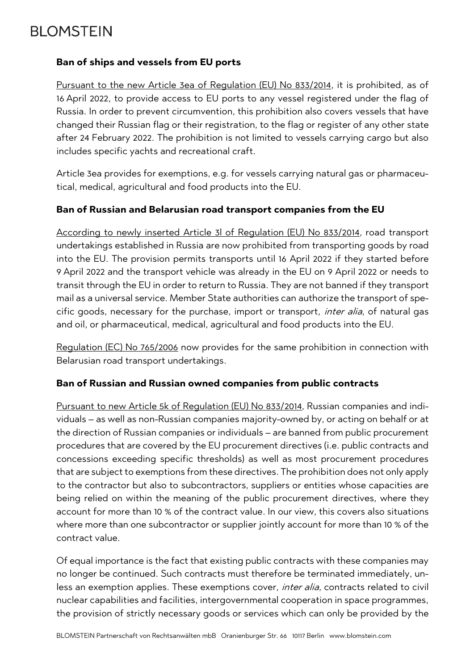# **BLOMSTEIN**

#### **Ban of ships and vessels from EU ports**

Pursuant to the new Article 3ea of Regulation (EU) No 833/2014, it is prohibited, as of 16 April 2022, to provide access to EU ports to any vessel registered under the flag of Russia. In order to prevent circumvention, this prohibition also covers vessels that have changed their Russian flag or their registration, to the flag or register of any other state after 24 February 2022. The prohibition is not limited to vessels carrying cargo but also includes specific yachts and recreational craft.

Article 3ea provides for exemptions, e.g. for vessels carrying natural gas or pharmaceutical, medical, agricultural and food products into the EU.

#### **Ban of Russian and Belarusian road transport companies from the EU**

According to newly inserted Article 3l of Regulation (EU) No 833/2014, road transport undertakings established in Russia are now prohibited from transporting goods by road into the EU. The provision permits transports until 16 April 2022 if they started before 9 April 2022 and the transport vehicle was already in the EU on 9 April 2022 or needs to transit through the EU in order to return to Russia. They are not banned if they transport mail as a universal service. Member State authorities can authorize the transport of specific goods, necessary for the purchase, import or transport, *inter alia*, of natural gas and oil, or pharmaceutical, medical, agricultural and food products into the EU.

Regulation (EC) No 765/2006 now provides for the same prohibition in connection with Belarusian road transport undertakings.

#### **Ban of Russian and Russian owned companies from public contracts**

Pursuant to new Article 5k of Regulation (EU) No 833/2014, Russian companies and individuals – as well as non-Russian companies majority-owned by, or acting on behalf or at the direction of Russian companies or individuals – are banned from public procurement procedures that are covered by the EU procurement directives (i.e. public contracts and concessions exceeding specific thresholds) as well as most procurement procedures that are subject to exemptions from these directives. The prohibition does not only apply to the contractor but also to subcontractors, suppliers or entities whose capacities are being relied on within the meaning of the public procurement directives, where they account for more than 10 % of the contract value. In our view, this covers also situations where more than one subcontractor or supplier jointly account for more than 10 % of the contract value.

Of equal importance is the fact that existing public contracts with these companies may no longer be continued. Such contracts must therefore be terminated immediately, unless an exemption applies. These exemptions cover, *inter alia*, contracts related to civil nuclear capabilities and facilities, intergovernmental cooperation in space programmes, the provision of strictly necessary goods or services which can only be provided by the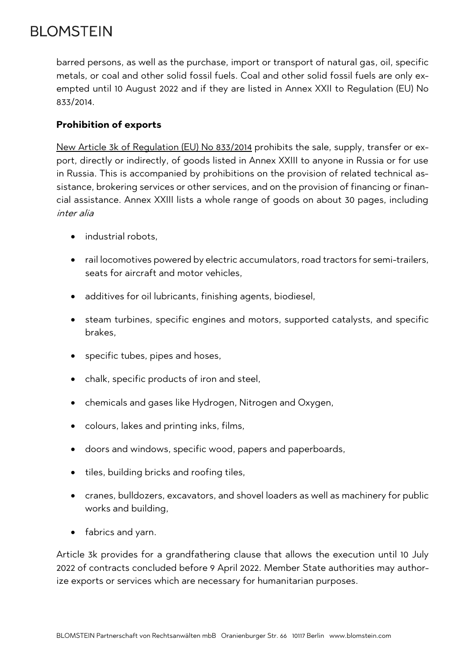# **BLOMSTEIN**

barred persons, as well as the purchase, import or transport of natural gas, oil, specific metals, or coal and other solid fossil fuels. Coal and other solid fossil fuels are only exempted until 10 August 2022 and if they are listed in Annex XXII to Regulation (EU) No 833/2014.

### **Prohibition of exports**

New Article 3k of Regulation (EU) No 833/2014 prohibits the sale, supply, transfer or export, directly or indirectly, of goods listed in Annex XXIII to anyone in Russia or for use in Russia. This is accompanied by prohibitions on the provision of related technical assistance, brokering services or other services, and on the provision of financing or financial assistance. Annex XXIII lists a whole range of goods on about 30 pages, including inter alia

- industrial robots.
- rail locomotives powered by electric accumulators, road tractors for semi-trailers, seats for aircraft and motor vehicles,
- additives for oil lubricants, finishing agents, biodiesel,
- steam turbines, specific engines and motors, supported catalysts, and specific brakes,
- specific tubes, pipes and hoses,
- chalk, specific products of iron and steel,
- chemicals and gases like Hydrogen, Nitrogen and Oxygen,
- colours, lakes and printing inks, films,
- doors and windows, specific wood, papers and paperboards,
- tiles, building bricks and roofing tiles,
- cranes, bulldozers, excavators, and shovel loaders as well as machinery for public works and building,
- fabrics and yarn.

Article 3k provides for a grandfathering clause that allows the execution until 10 July 2022 of contracts concluded before 9 April 2022. Member State authorities may authorize exports or services which are necessary for humanitarian purposes.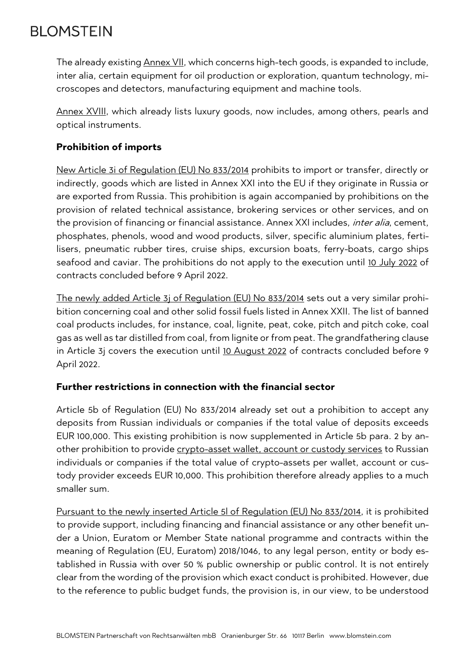# **BLOMSTEIN**

The already existing Annex VII, which concerns high-tech goods, is expanded to include, inter alia, certain equipment for oil production or exploration, quantum technology, microscopes and detectors, manufacturing equipment and machine tools.

Annex XVIII, which already lists luxury goods, now includes, among others, pearls and optical instruments.

### **Prohibition of imports**

New Article 3i of Regulation (EU) No 833/2014 prohibits to import or transfer, directly or indirectly, goods which are listed in Annex XXI into the EU if they originate in Russia or are exported from Russia. This prohibition is again accompanied by prohibitions on the provision of related technical assistance, brokering services or other services, and on the provision of financing or financial assistance. Annex XXI includes, *inter alia*, cement, phosphates, phenols, wood and wood products, silver, specific aluminium plates, fertilisers, pneumatic rubber tires, cruise ships, excursion boats, ferry-boats, cargo ships seafood and caviar. The prohibitions do not apply to the execution until 10 July 2022 of contracts concluded before 9 April 2022.

The newly added Article 3j of Regulation (EU) No 833/2014 sets out a very similar prohibition concerning coal and other solid fossil fuels listed in Annex XXII. The list of banned coal products includes, for instance, coal, lignite, peat, coke, pitch and pitch coke, coal gas as well as tar distilled from coal, from lignite or from peat. The grandfathering clause in Article 3j covers the execution until 10 August 2022 of contracts concluded before 9 April 2022.

#### **Further restrictions in connection with the financial sector**

Article 5b of Regulation (EU) No 833/2014 already set out a prohibition to accept any deposits from Russian individuals or companies if the total value of deposits exceeds EUR 100,000. This existing prohibition is now supplemented in Article 5b para. 2 by another prohibition to provide crypto-asset wallet, account or custody services to Russian individuals or companies if the total value of crypto-assets per wallet, account or custody provider exceeds EUR 10,000. This prohibition therefore already applies to a much smaller sum.

Pursuant to the newly inserted Article 5l of Regulation (EU) No 833/2014, it is prohibited to provide support, including financing and financial assistance or any other benefit under a Union, Euratom or Member State national programme and contracts within the meaning of Regulation (EU, Euratom) 2018/1046, to any legal person, entity or body established in Russia with over 50 % public ownership or public control. It is not entirely clear from the wording of the provision which exact conduct is prohibited. However, due to the reference to public budget funds, the provision is, in our view, to be understood